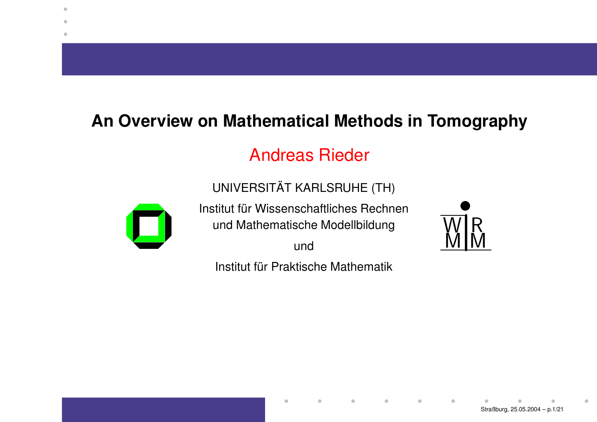#### **An Overview on Mathematical Methods in Tomography**

#### Andreas Rieder

UNIVERSITAT ¨AT KARLSRUHE (TH)



 $\bullet$ 

Institut für Wissenschaftliches Rechnen und Mathematische Modellbildung

und

Institut für Praktische Mathematik

 $\qquad \qquad \blacksquare$ 

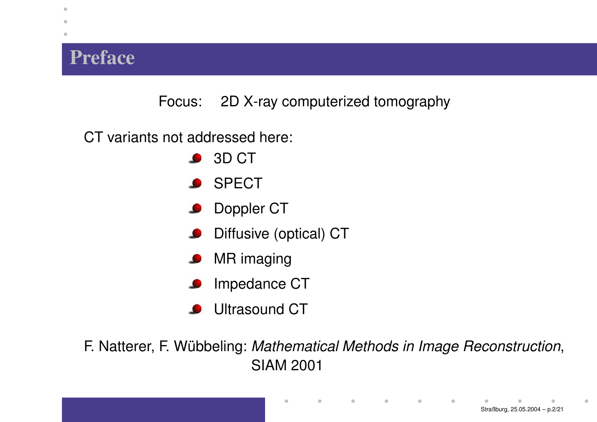## **Preface**

 $\bullet$ 

Focus: 2D X-ray computerized tomography

CT variants not addressed here:

- 3D CT
- **SPECT**
- Doppler CT
- Diffusive (optical) CT
- MR imaging  $\bullet$
- Impedance CT
- Ultrasound CT

F. Natterer, F. Wübbeling: *Mathematical Methods in Image Reconstruction*, SIAM 2001

 $\qquad \qquad \bullet$ 

 $\blacksquare$ 

 $\blacksquare$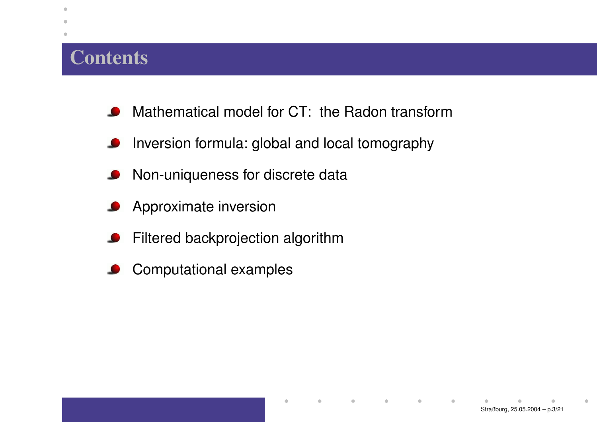# **Contents**

 $\bullet$  $\blacksquare$  $\bullet$ 

- Mathematical model for CT: the Radon transform**CONTRACT**
- Inversion formula: global and local tomography  $\bullet$
- Non-uniqueness for discrete data  $\bullet$
- Approximate inversion
- Filtered backprojection algorithm  $\bullet$
- Computational examples  $\bullet$

 $\bullet$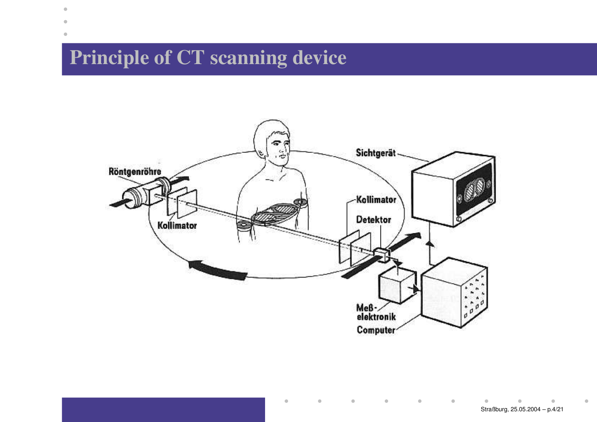# **Principle of CT scanning device**

 $\bullet$  $\blacksquare$ ٠



 $\qquad \qquad \blacksquare$ 

 $\blacksquare$ 

 $\bullet$ 

 $\bullet$ 

 $\bullet$ 

 $\blacksquare$ 

 $\blacksquare$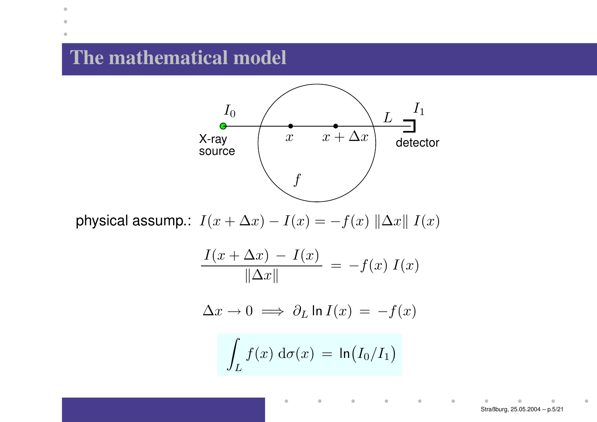## **The mathematical model**

 $\bullet$  $\bullet$ ۰



physical assump.:  $I(x + \Delta x) - I(x) = -f(x) ||\Delta x|| I(x)$ 

$$
\frac{I(x + \Delta x) - I(x)}{\|\Delta x\|} = -f(x) I(x)
$$

$$
\Delta x \to 0 \implies \partial_L \ln I(x) = -f(x)
$$

$$
\int_L f(x) \, \mathrm{d}\sigma(x) \, = \, \ln \big( I_0/I_1 \big)
$$

 $\qquad \qquad \blacksquare$ 

 $\blacksquare$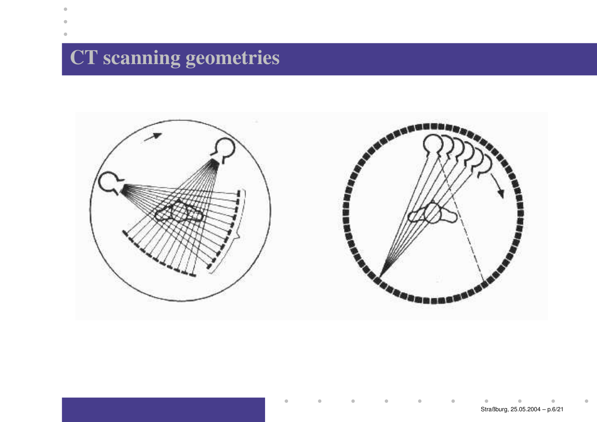**CT scanning geometries**

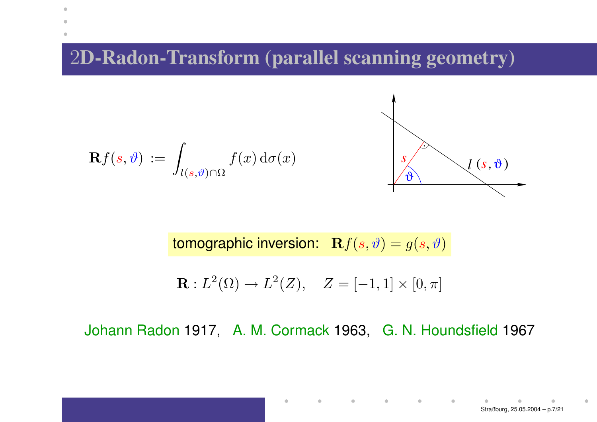2**D-Radon-Transform (parallel scanning geometry)**

$$
\mathbf{R}f(s,\vartheta) := \int_{l(s,\vartheta)\cap\Omega} f(x) d\sigma(x) \qquad \qquad \boxed{\int_{\vartheta} \setminus l(s,\vartheta)}
$$

 $\bullet$ 

۰



tomographic inversion:  $\mathbf{R} f(s, \vartheta) = g(s, \vartheta)$ 

$$
\mathbf{R}: L^{2}(\Omega) \to L^{2}(Z), \quad Z = [-1,1] \times [0,\pi]
$$

Johann Radon 1917, A. M. Cormack 1963, G. N. Houndsfield 1967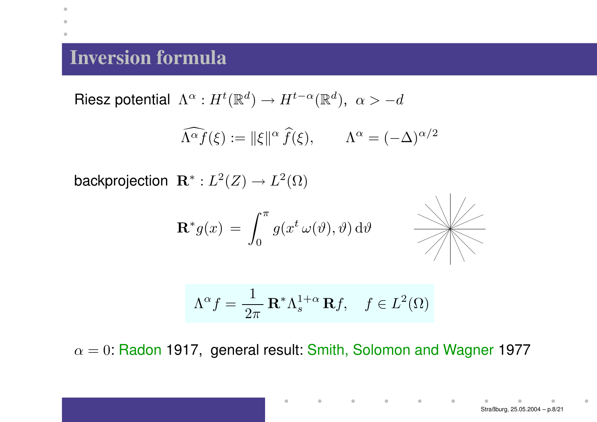## **Inversion formula**

 $\bullet$ 

Riesz potential  $\,\Lambda^{\alpha}:H^t(\mathbb R^d)\to H^{t-\alpha}(\mathbb R^d),\,\, \alpha>-d$ 

$$
\widehat{\Lambda^{\alpha} f}(\xi) := \|\xi\|^{\alpha} \widehat{f}(\xi), \qquad \Lambda^{\alpha} = (-\Delta)^{\alpha/2}
$$

backprojection  $\mathbf{R}^*: L^2(Z) \to L^2(\Omega)$ 

$$
\mathbf{R}^* g(x) = \int_0^{\pi} g(x^t \,\omega(\vartheta), \vartheta) \,\mathrm{d}\vartheta
$$



$$
\Lambda^{\alpha} f = \frac{1}{2\pi} \mathbf{R}^* \Lambda_s^{1+\alpha} \mathbf{R} f, \quad f \in L^2(\Omega)
$$

 $\alpha=0$ : Radon 1917, general result: Smith, Solomon and Wagner 1977

 $\bullet$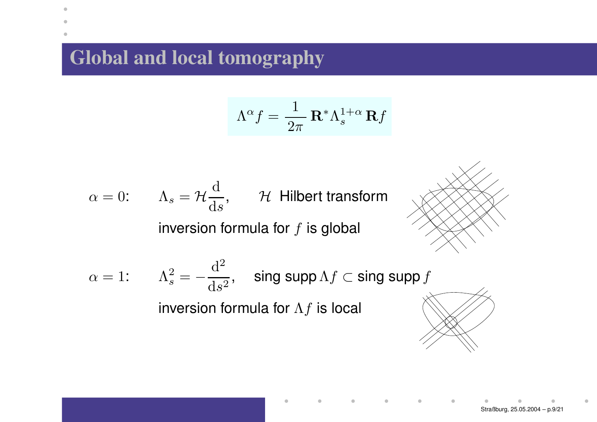## **Global and local tomography**

 $\bullet$ Ċ ۰

$$
\Lambda^{\alpha} f = \frac{1}{2\pi} \mathbf{R}^* \Lambda_s^{1+\alpha} \mathbf{R} f
$$

 $\bullet$ 

۰

$$
\alpha = 0
$$
:  $\Lambda_s = \mathcal{H} \frac{d}{ds}$ ,  $\mathcal{H}$  Hilbert transform  
inversion formula for *f* is global

$$
\alpha = 1: \qquad \Lambda_s^2 = -\frac{\mathrm{d}^2}{\mathrm{d}s^2}, \quad \text{sing supp } \Lambda f \subset \text{sing supp } f
$$
\ninversion formula for  $\Lambda f$  is local

۵ Straßburg, 25.05.2004 – p.9/21

 $\blacksquare$ 

۰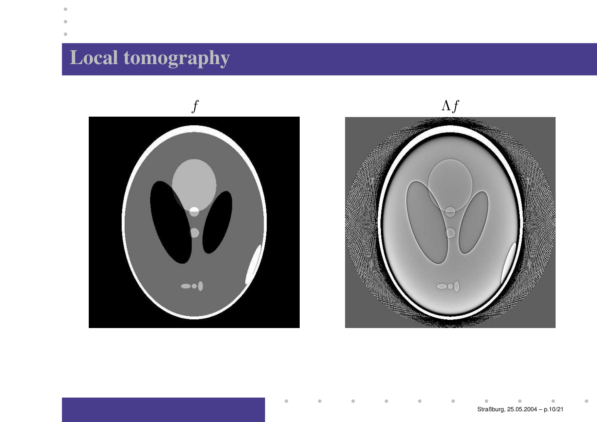# **Local tomography**



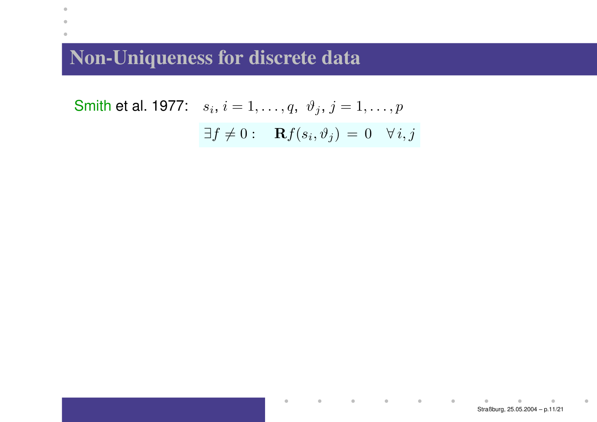$\bullet$  $\bullet$  $\bullet$ 

> Smith et al. 1977:  $\hspace{0.2cm} s_i, \hspace{0.1cm} i = 1, \ldots, q, \hspace{0.2cm} \vartheta_j, \hspace{0.1cm} j = 1, \ldots, p$  $\exists f \neq 0 : \quad \mathbf{R}f(s_i, \vartheta_j) = 0 \quad \forall i, j$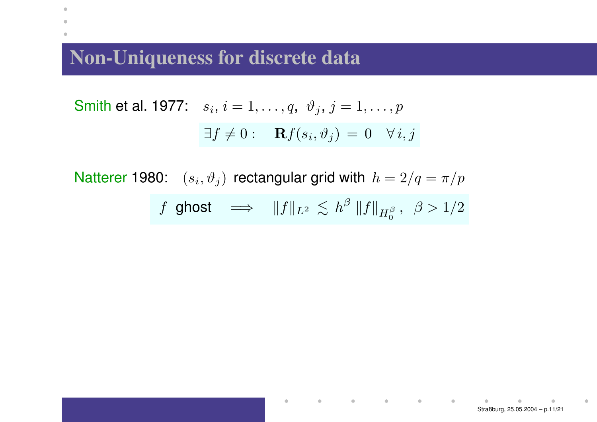$\bullet$  $\blacksquare$ 

Smith et al. 1977: 
$$
s_i
$$
,  $i = 1, ..., q$ ,  $\vartheta_j$ ,  $j = 1, ..., p$   
 $\exists f \neq 0$ :  $\mathbf{R}f(s_i, \vartheta_j) = 0 \quad \forall i, j$ 

Natterer 1980:  $(s_i, \vartheta_j)$  rectangular grid with  $h = 2/q = \pi/p$ 

 $\qquad \qquad \blacksquare$ 

$$
f \text{ ghost} \quad \Longrightarrow \quad \|f\|_{L^2} \, \lesssim \, h^{\beta} \, \|f\|_{H^{\beta}_0} \, , \ \ \beta > 1/2
$$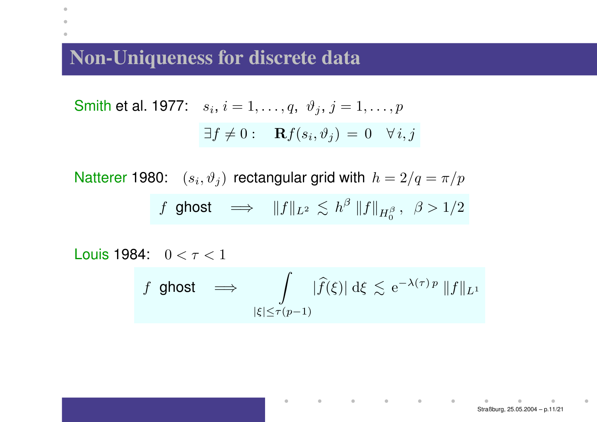$\bullet$  $\blacksquare$ ۰

Smith et al. 1977: 
$$
s_i
$$
,  $i = 1, ..., q$ ,  $\vartheta_j$ ,  $j = 1, ..., p$   
 $\exists f \neq 0$ :  $\mathbf{R}f(s_i, \vartheta_j) = 0 \quad \forall i, j$ 

Natterer 1980:  $(s_i, \vartheta_j)$  rectangular grid with  $h = 2/q = \pi/p$  $f$  ghost  $\implies$   $\|f\|_{L^2} \lesssim h^{\beta}\left\|f\right\|_{H^{\beta}_0}, \ \ \beta>1/2$ 

Louis 1984: 
$$
0 < \tau < 1
$$

\n $f \text{ ghost} \implies \int_{|\xi| \leq \tau(p-1)} |\widehat{f}(\xi)| \, d\xi \lesssim e^{-\lambda(\tau)p} \|f\|_{L^1}$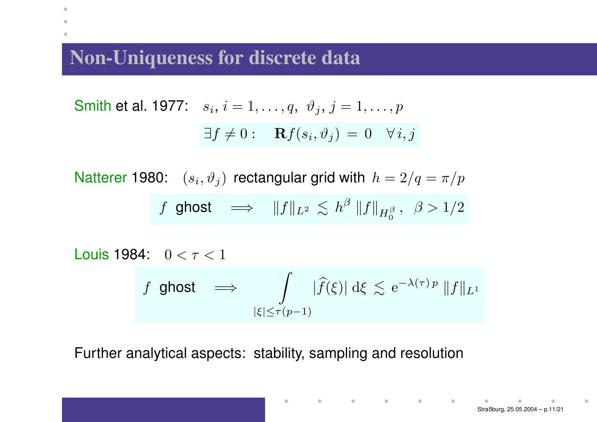$\bullet$  $\blacksquare$ 

Smith et al. 1977:

\n
$$
s_i, i = 1, \ldots, q, \vartheta_j, j = 1, \ldots, p
$$
\n
$$
\exists f \neq 0: \quad \mathbf{R}f(s_i, \vartheta_j) = 0 \quad \forall i, j
$$

Natterer 1980:  $(s_i, \vartheta_i)$  rectangular grid with  $h = 2/q = \pi/p$  $f$  ghost  $\implies$   $\|f\|_{L^2} \lesssim h^{\beta}\left\|f\right\|_{H^{\beta}_0}, \ \ \beta>1/2$ 

Louis 1984: 
$$
0 < \tau < 1
$$

\n $f \text{ ghost} \implies \int_{|\xi| \leq \tau(p-1)} |\widehat{f}(\xi)| \, d\xi \lesssim e^{-\lambda(\tau)p} \|f\|_{L^1}$ 

Further analytical aspects: stability, sampling and resolution

 $\mathbf{r}=\mathbf{0}$  , and  $\mathbf{r}=\mathbf{0}$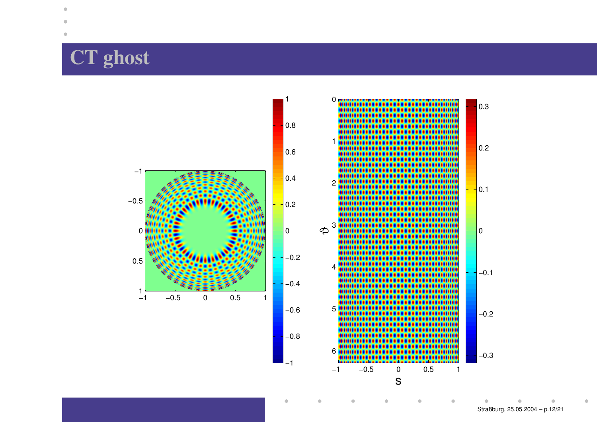# **CT ghost**

۰

 $\bullet$ 



Straßburg, 25.05.2004 – p.12/21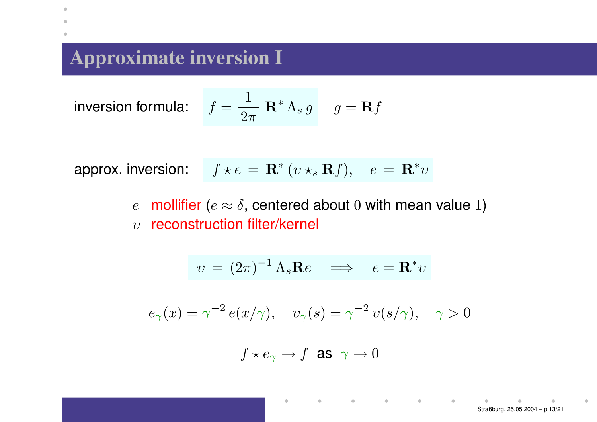## **Approximate inversion I**

inversion

 $\bullet$ 

n formula: 
$$
f = \frac{1}{2\pi} \mathbf{R}^* \Lambda_s g
$$
  $g = \mathbf{R} f$ 

approx. inversion:  $f \star e = \mathbf{R}^* (v \star_s \mathbf{R} f), \quad e = \mathbf{R}^* v$ 

 $\epsilon$ mollifier ( $e \approx \delta$ , centered about 0 with mean value 1)  $\upsilon$  -reconstruction filter/kernel

$$
v = (2\pi)^{-1} \Lambda_s \mathbf{R} e \implies e = \mathbf{R}^* v
$$

$$
e_{\gamma}(x) = \gamma^{-2} e(x/\gamma), \quad v_{\gamma}(s) = \gamma^{-2} v(s/\gamma), \quad \gamma > 0
$$

$$
f\star e_\gamma\to f\ \text{ as }\ \gamma\to 0
$$

 $\blacksquare$ 

 $\begin{array}{ccc} \bullet & \bullet & \bullet \\ \bullet & \bullet & \bullet \end{array}$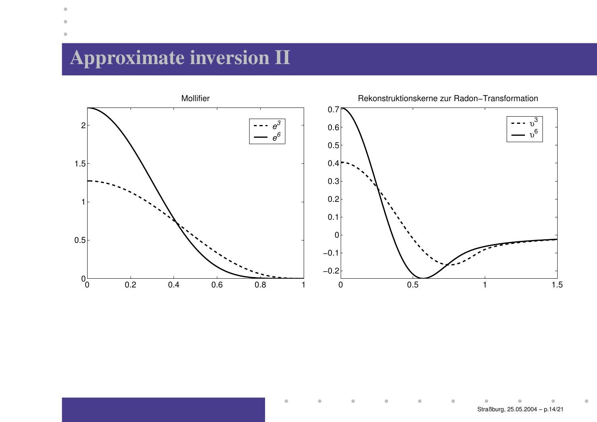# **Approximate inversion II**

 $\bullet$ 



Ò

ò

ö

 $\bullet$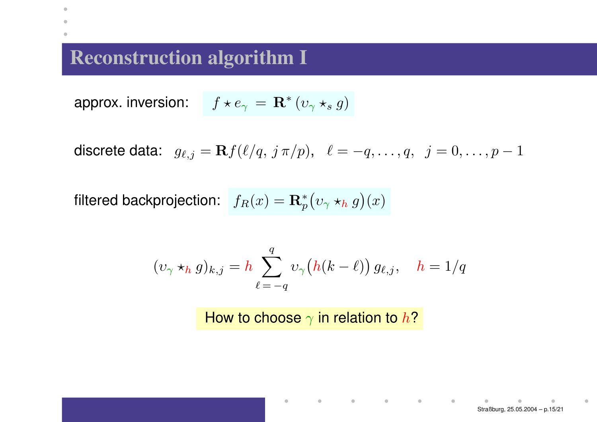## **Reconstruction algorithm I**

 $\bullet$  $\triangle$  $\bullet$ 

approx. inversion:  $f \star e_{\gamma} = \mathbf{R}^* (v_{\gamma} \star_s g)$ 

discrete data:  $g_{\ell,j} = {\mathbf R} f(\ell/q,\,j\,\pi/p), \;\;\ell = -q,\ldots, q,\;\; j = 0,\ldots, p-1$ 

filtered backprojection:  $\int\! f_R(x) = \mathbf{R}_p^*\big(v_\gamma\star_h g\big)(x)$ 

$$
(\upsilon_{\gamma} *_{h} g)_{k,j} = h \sum_{\ell=-q}^{q} \upsilon_{\gamma} (h(k-\ell)) g_{\ell,j}, \quad h = 1/q
$$

How to choose  $\gamma$  in relation to  $h$ ?

 $\bullet$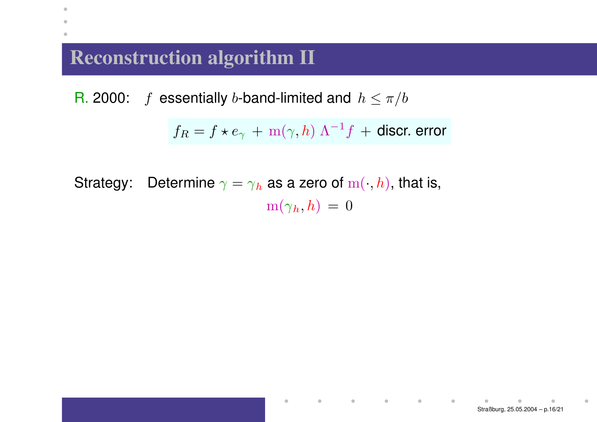## **Reconstruction algorithm II**

 $\bullet$  $\bullet$ ۰

> R. 2000:  $- f$  essentially b-band-limited and  $h \leq \pi/b$

$$
f_R = f \star e_\gamma + \mathrm{m}(\gamma, h) \Lambda^{-1} f + \text{discr. error}
$$

Strategy: Determine  $\gamma = \gamma_h$  as a zero of  $m(\cdot, h)$ , that is,  $m(\gamma_h, h) = 0$ 

 $\bullet$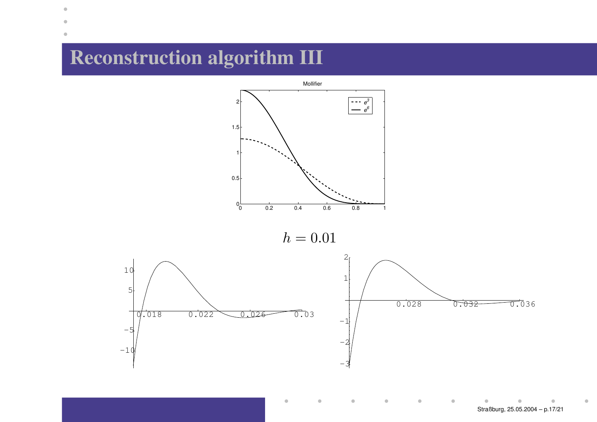## **Reconstruction algorithm III**

 $\bullet$ 



 $\bullet$ 

ö

Ò

Straßburg, 25.05.2004 – p.17/21

۵

 $\bullet$ 

 $\blacksquare$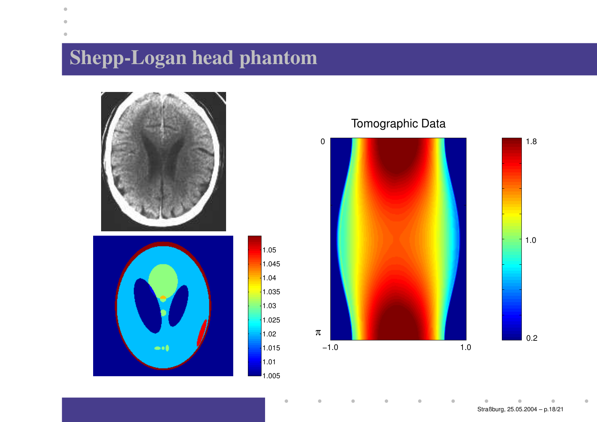# **Shepp-Logan head phantom**

 $\bullet$ 





#### Tomographic Data

ö



 $\bullet$ 

Straßburg, 25.05.2004 – p.18/21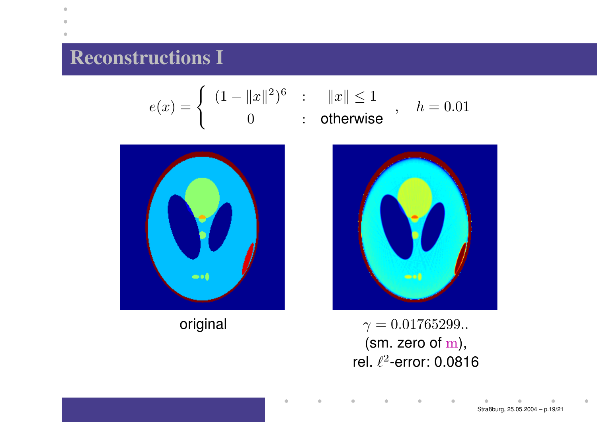## **Reconstructions I**

۰

$$
e(x) = \begin{cases} (1 - ||x||^2)^6 & \text{: } ||x|| \le 1 \\ 0 & \text{: } \text{ otherwise} \end{cases}, \quad h = 0.01
$$





original  $\gamma = 0.01765299...$ (sm. zero of <sup>m</sup>), rel.  $\ell^2$ -error: 0.0816

۰

 $\blacksquare$ 

ö

Straßburg, 25.05.2004 – p.19/21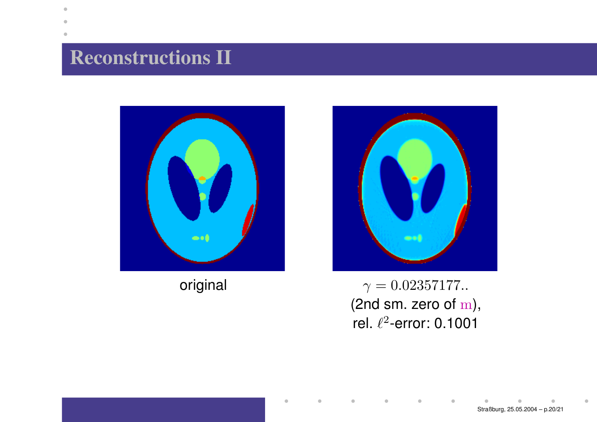## **Reconstructions II**

 $\bullet$ 





original  $\gamma = 0.02357177...$ (2nd sm. zero of <sup>m</sup>), rel.  $\ell^2$ -error: 0.1001

 $\bullet$ 

 $\bullet$ 

 $\bullet$ 

 $\blacksquare$ 

ö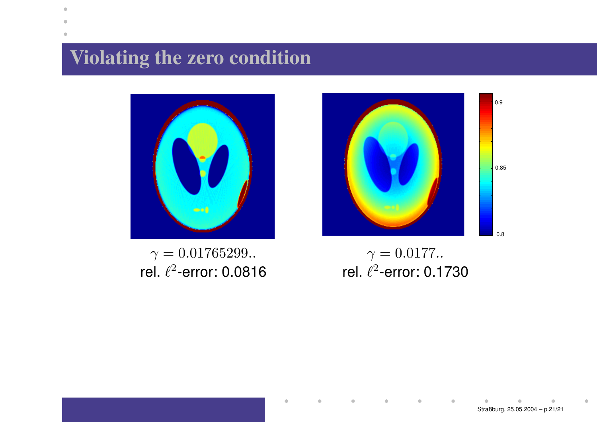# **Violating the zero condition**

 $\bullet$ 



 $\gamma = 0.01765299...$ rel.  $\ell^2$ -error: 0.0816



 $\gamma = 0.0177...$ rel.  $\ell^2$ -error: 0.1730

 $\qquad \qquad \blacksquare$ 

 $\qquad \qquad \bullet$ 

 $\blacksquare$ 

 $\blacksquare$